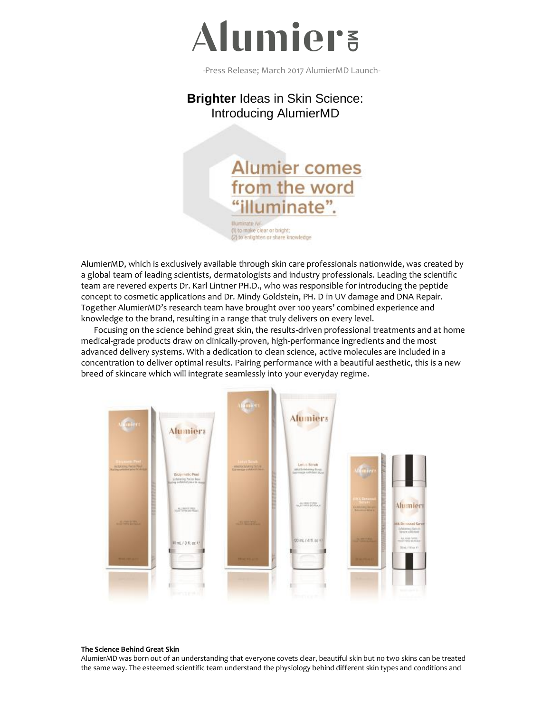

-Press Release; March 2017 AlumierMD Launch-

## **Brighter** Ideas in Skin Science: Introducing AlumierMD



(1) to make clear or bright; (2) to enlighten or share knowledge

AlumierMD, which is exclusively available through skin care professionals nationwide, was created by a global team of leading scientists, dermatologists and industry professionals. Leading the scientific team are revered experts Dr. Karl Lintner PH.D., who was responsible for introducing the peptide concept to cosmetic applications and Dr. Mindy Goldstein, PH. D in UV damage and DNA Repair. Together AlumierMD's research team have brought over 100 years' combined experience and knowledge to the brand, resulting in a range that truly delivers on every level.

Focusing on the science behind great skin, the results-driven professional treatments and at home medical-grade products draw on clinically-proven, high-performance ingredients and the most advanced delivery systems. With a dedication to clean science, active molecules are included in a concentration to deliver optimal results. Pairing performance with a beautiful aesthetic, this is a new breed of skincare which will integrate seamlessly into your everyday regime.



#### **The Science Behind Great Skin**

AlumierMD was born out of an understanding that everyone covets clear, beautiful skin but no two skins can be treated the same way. The esteemed scientific team understand the physiology behind different skin types and conditions and